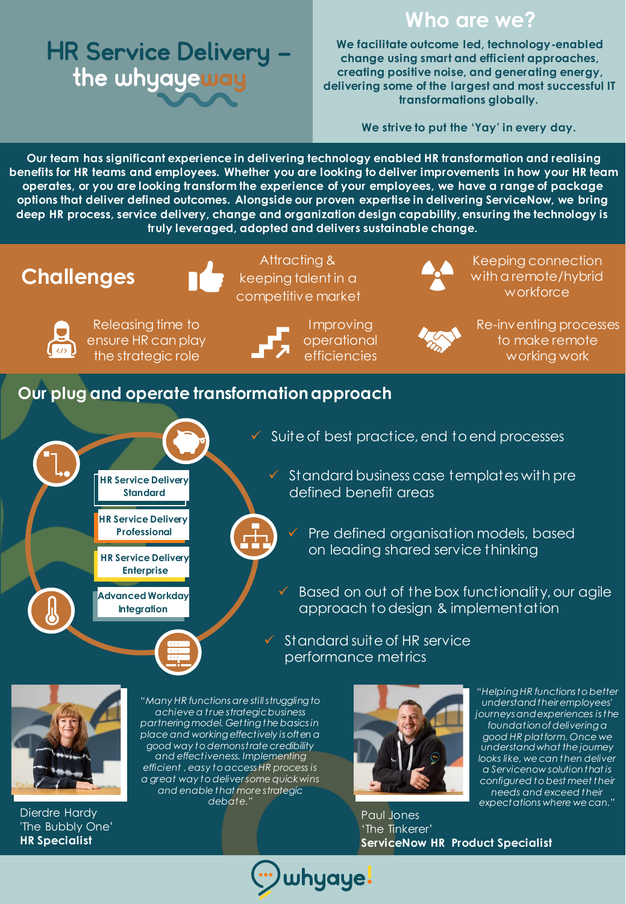### **Who are we?**

# **HR Service Delivery** the whyayeway

**We facilitate outcome led, technology-enabled change using smart and efficient approaches, creating positive noise, and generating energy, delivering some of the largest and most successful IT transformations globally.**

**We strive to put the 'Yay' in every day.**

**Our team has significant experience in delivering technology enabled HR transformation and realising benefits for HR teams and employees. Whether you are looking to deliver improvements in how your HR team operates, or you are looking transform the experience of your employees, we have a range of package options that deliver defined outcomes. Alongside our proven expertise in delivering ServiceNow, we bring deep HR process, service delivery, change and organization design capability, ensuring the technology is truly leveraged, adopted and delivers sustainable change.** 

# **Challenges**



Attracting & keeping talent in a competitive market



Keeping connection with a remote/hybrid workforce



Releasing time to ensure HR can play the strategic role



Improving operational efficiencies



Re-inventing processes to make remote working work

### **Our plug and operate transformation approach**



✓ Suite of best practice, end to end processes

Standard business case templates with pre defined benefit areas

Pre defined organisation models, based on leading shared service thinking

Based on out of the box functionality, our agile approach to design & implementation

Standard suite of HR service performance metrics



Dierdre Hardy 'The Bubbly One' **HR Specialist**

*"Many HR functions are still struggling to achieve a true strategic business partnering model. Getting the basics in place and working effectively is often a good way to demonstrate credibility and effectiveness. Implementing efficient , easy to access HR process is a great way to deliver some quick wins and enable that more strategic debate."*



*"Helping HR functions to better understand their employees' journeys and experiences is the foundation of delivering a good HR platform. Once we understand what the journey looks like, we can then deliver a Servicenow solution that is configured to best meet their needs and exceed their expectations where we can."*

Paul Jones 'The Tinkerer' **ServiceNow HR Product Specialist**